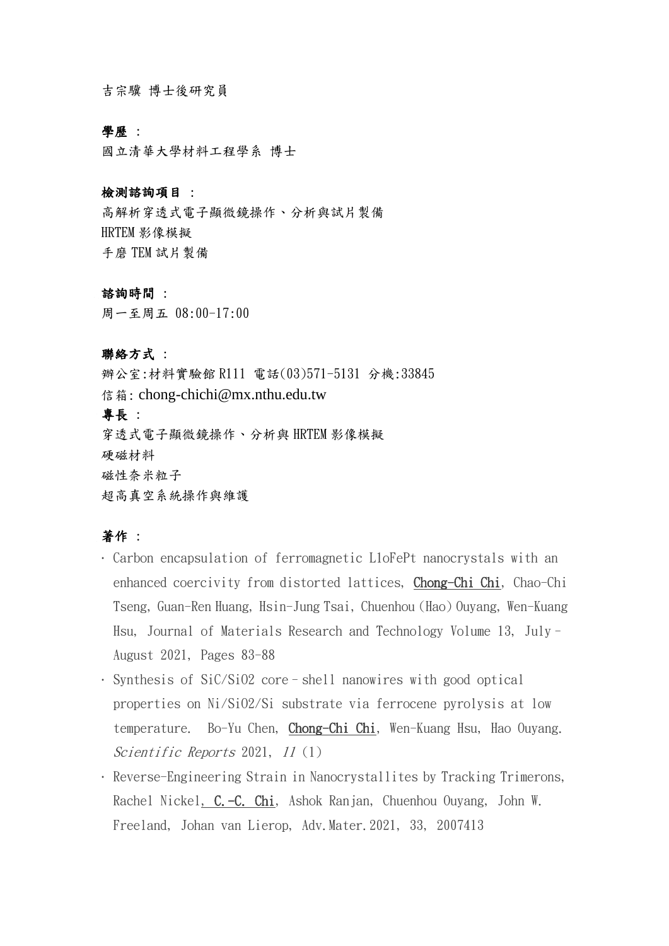吉宗驥 博士後研究員

## 學歷 :

國立清華大學材料工程學系 博士

#### 檢測諮詢項目 :

高解析穿透式電子顯微鏡操作、分析與試片製備 HRTEM 影像模擬 手磨 TEM 試片製備

#### 諮詢時間 :

周一至周五 08:00-17:00

### 聯絡方式 :

辦公室:材料實驗館 R111 電話(03)571-5131 分機:33845 信箱: chong-chichi@mx.nthu.edu.tw 專長 : 穿透式電子顯微鏡操作、分析與 HRTEM 影像模擬 硬磁材料 磁性奈米粒子 超高真空系統操作與維護

# 著作 :

- · Carbon encapsulation of ferromagnetic L1oFePt nanocrystals with an enhanced coercivity from distorted lattices, Chong-Chi Chi, Chao-Chi Tseng, Guan-Ren Huang, Hsin-Jung Tsai, Chuenhou (Hao) Ouyang, Wen-Kuang Hsu, Journal of Materials Research and Technology Volume 13, July– August 2021, Pages 83-88
- · Synthesis of SiC/SiO2 core–shell nanowires with good optical properties on Ni/SiO2/Si substrate via ferrocene pyrolysis at low temperature. Bo-Yu Chen, Chong-Chi Chi, Wen-Kuang Hsu, Hao Ouyang. Scientific Reports 2021, 11 (1)
- · Reverse-Engineering Strain in Nanocrystallites by Tracking Trimerons, Rachel Nickel, C.-C. Chi, Ashok Ranjan, Chuenhou Ouyang, John W. Freeland, Johan van Lierop, Adv.Mater.2021, 33, 2007413